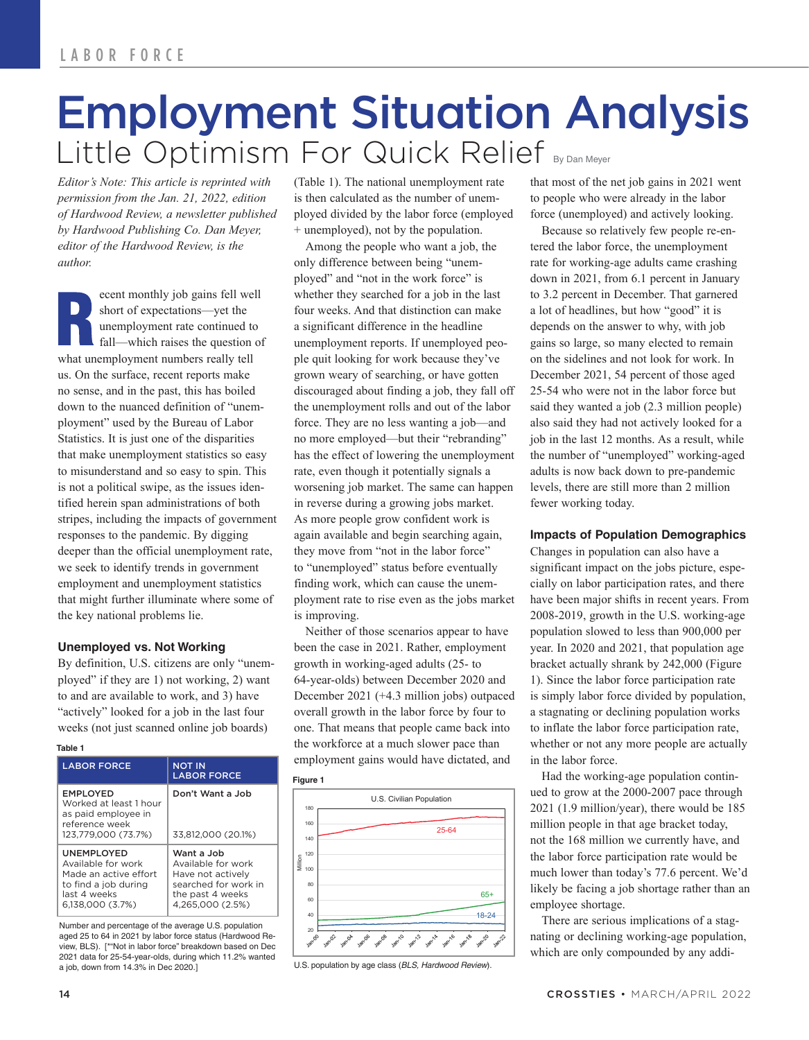# Employment Situation Analysis Little Optimism For Quick Relief By Dan Meyer

*Editor's Note: This article is reprinted with permission from the Jan. 21, 2022, edition of Hardwood Review, a newsletter published by Hardwood Publishing Co. Dan Meyer, editor of the Hardwood Review, is the author.*

ecent monthly job gains fell well short of expectations—yet the unemployment rate continued to fall—which raises the question of what unemployment numbers really tell us. On the surface, recent reports make no sense, and in the past, this has boiled down to the nuanced definition of "unemployment" used by the Bureau of Labor Statistics. It is just one of the disparities that make unemployment statistics so easy to misunderstand and so easy to spin. This is not a political swipe, as the issues identified herein span administrations of both stripes, including the impacts of government responses to the pandemic. By digging deeper than the official unemployment rate, we seek to identify trends in government employment and unemployment statistics that might further illuminate where some of the key national problems lie.

## **Unemployed vs. Not Working**

By definition, U.S. citizens are only "unemployed" if they are 1) not working, 2) want to and are available to work, and 3) have "actively" looked for a job in the last four weeks (not just scanned online job boards)

#### **Table 1**

| <b>LABOR FORCE</b>                                                                                                    | <u>NOT IN</u><br><b>LABOR FORCE</b>                                                                                   |
|-----------------------------------------------------------------------------------------------------------------------|-----------------------------------------------------------------------------------------------------------------------|
| <b>EMPLOYED</b><br>Worked at least 1 hour<br>as paid employee in<br>reference week<br>123.779.000 (73.7%)             | Don't Want a Job<br>33.812.000 (20.1%)                                                                                |
| UNEMPLOYED<br>Available for work<br>Made an active effort<br>to find a job during<br>last 4 weeks<br>6,138,000 (3.7%) | Want a Job<br>Available for work<br>Have not actively<br>searched for work in<br>the past 4 weeks<br>4.265.000 (2.5%) |

Number and percentage of the average U.S. population aged 25 to 64 in 2021 by labor force status (Hardwood Review, BLS). [\*"Not in labor force" breakdown based on Dec 2021 data for 25-54-year-olds, during which 11.2% wanted a job, down from 14.3% in Dec 2020.]

(Table 1). The national unemployment rate is then calculated as the number of unemployed divided by the labor force (employed + unemployed), not by the population.

Among the people who want a job, the only difference between being "unemployed" and "not in the work force" is whether they searched for a job in the last four weeks. And that distinction can make a significant difference in the headline unemployment reports. If unemployed people quit looking for work because they've grown weary of searching, or have gotten discouraged about finding a job, they fall off the unemployment rolls and out of the labor force. They are no less wanting a job—and no more employed—but their "rebranding" has the effect of lowering the unemployment rate, even though it potentially signals a worsening job market. The same can happen in reverse during a growing jobs market. As more people grow confident work is again available and begin searching again, they move from "not in the labor force" to "unemployed" status before eventually finding work, which can cause the unemployment rate to rise even as the jobs market is improving.

Neither of those scenarios appear to have been the case in 2021. Rather, employment growth in working-aged adults (25- to 64-year-olds) between December 2020 and December 2021 (+4.3 million jobs) outpaced overall growth in the labor force by four to one. That means that people came back into the workforce at a much slower pace than employment gains would have dictated, and



U.S. population by age class (*BLS, Hardwood Review*).

that most of the net job gains in 2021 went to people who were already in the labor force (unemployed) and actively looking.

Because so relatively few people re-entered the labor force, the unemployment rate for working-age adults came crashing down in 2021, from 6.1 percent in January to 3.2 percent in December. That garnered a lot of headlines, but how "good" it is depends on the answer to why, with job gains so large, so many elected to remain on the sidelines and not look for work. In December 2021, 54 percent of those aged 25-54 who were not in the labor force but said they wanted a job (2.3 million people) also said they had not actively looked for a job in the last 12 months. As a result, while the number of "unemployed" working-aged adults is now back down to pre-pandemic levels, there are still more than 2 million fewer working today.

### **Impacts of Population Demographics**

Changes in population can also have a significant impact on the jobs picture, especially on labor participation rates, and there have been major shifts in recent years. From 2008-2019, growth in the U.S. working-age population slowed to less than 900,000 per year. In 2020 and 2021, that population age bracket actually shrank by 242,000 (Figure 1). Since the labor force participation rate is simply labor force divided by population, a stagnating or declining population works to inflate the labor force participation rate, whether or not any more people are actually in the labor force.

Had the working-age population continued to grow at the 2000-2007 pace through 2021 (1.9 million/year), there would be 185 million people in that age bracket today, not the 168 million we currently have, and the labor force participation rate would be much lower than today's 77.6 percent. We'd likely be facing a job shortage rather than an employee shortage.

There are serious implications of a stagnating or declining working-age population, which are only compounded by any addi-